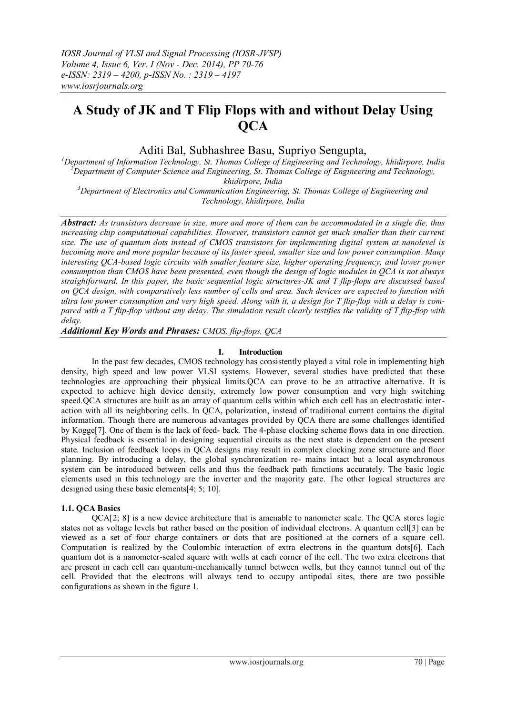# **A Study of JK and T Flip Flops with and without Delay Using QCA**

Aditi Bal, Subhashree Basu, Supriyo Sengupta,

*Department of Information Technology, St. Thomas College of Engineering and Technology, khidirpore, India Department of Computer Science and Engineering, St. Thomas College of Engineering and Technology, khidirpore, India Department of Electronics and Communication Engineering, St. Thomas College of Engineering and* 

*Technology, khidirpore, India*

*Abstract: As transistors decrease in size, more and more of them can be accommodated in a single die, thus increasing chip computational capabilities. However, transistors cannot get much smaller than their current size. The use of quantum dots instead of CMOS transistors for implementing digital system at nanolevel is becoming more and more popular because of its faster speed, smaller size and low power consumption. Many interesting QCA-based logic circuits with smaller feature size, higher operating frequency, and lower power consumption than CMOS have been presented, even though the design of logic modules in QCA is not always straightforward. In this paper, the basic sequential logic structures-JK and T flip-flops are discussed based on QCA design, with comparatively less number of cells and area. Such devices are expected to function with ultra low power consumption and very high speed. Along with it, a design for T flip-flop with a delay is compared with a T flip-flop without any delay. The simulation result clearly testifies the validity of T flip-flop with delay.* 

*Additional Key Words and Phrases: CMOS, flip-flops, QCA* 

## **I. Introduction**

In the past few decades, CMOS technology has consistently played a vital role in implementing high density, high speed and low power VLSI systems. However, several studies have predicted that these technologies are approaching their physical limits.QCA can prove to be an attractive alternative. It is expected to achieve high device density, extremely low power consumption and very high switching speed.QCA structures are built as an array of quantum cells within which each cell has an electrostatic interaction with all its neighboring cells. In QCA, polarization, instead of traditional current contains the digital information. Though there are numerous advantages provided by QCA there are some challenges identified by Kogge[7]. One of them is the lack of feed- back. The 4-phase clocking scheme flows data in one direction. Physical feedback is essential in designing sequential circuits as the next state is dependent on the present state. Inclusion of feedback loops in QCA designs may result in complex clocking zone structure and floor planning. By introducing a delay, the global synchronization re- mains intact but a local asynchronous system can be introduced between cells and thus the feedback path functions accurately. The basic logic elements used in this technology are the inverter and the majority gate. The other logical structures are designed using these basic elements[4; 5; 10].

## **1.1. QCA Basics**

QCA[2; 8] is a new device architecture that is amenable to nanometer scale. The QCA stores logic states not as voltage levels but rather based on the position of individual electrons. A quantum cell[3] can be viewed as a set of four charge containers or dots that are positioned at the corners of a square cell. Computation is realized by the Coulombic interaction of extra electrons in the quantum dots[6]. Each quantum dot is a nanometer-scaled square with wells at each corner of the cell. The two extra electrons that are present in each cell can quantum-mechanically tunnel between wells, but they cannot tunnel out of the cell. Provided that the electrons will always tend to occupy antipodal sites, there are two possible configurations as shown in the figure 1.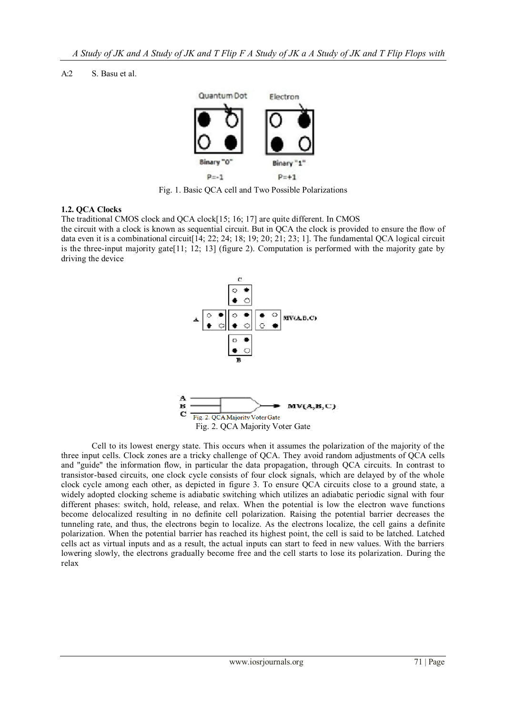A:2 S. Basu et al.



Fig. 1. Basic QCA cell and Two Possible Polarizations

## **1.2. QCA Clocks**

The traditional CMOS clock and QCA clock[15; 16; 17] are quite different. In CMOS

the circuit with a clock is known as sequential circuit. But in QCA the clock is provided to ensure the flow of data even it is a combinational circuit  $[14; 22; 24; 18; 19; 20; 21; 23; 1]$ . The fundamental QCA logical circuit is the three-input majority gate[11; 12; 13] (figure 2). Computation is performed with the majority gate by driving the device



Cell to its lowest energy state. This occurs when it assumes the polarization of the majority of the three input cells. Clock zones are a tricky challenge of QCA. They avoid random adjustments of QCA cells and "guide" the information flow, in particular the data propagation, through QCA circuits. In contrast to transistor-based circuits, one clock cycle consists of four clock signals, which are delayed by of the whole clock cycle among each other, as depicted in figure 3. To ensure QCA circuits close to a ground state, a widely adopted clocking scheme is adiabatic switching which utilizes an adiabatic periodic signal with four different phases: switch, hold, release, and relax. When the potential is low the electron wave functions become delocalized resulting in no definite cell polarization. Raising the potential barrier decreases the tunneling rate, and thus, the electrons begin to localize. As the electrons localize, the cell gains a definite polarization. When the potential barrier has reached its highest point, the cell is said to be latched. Latched cells act as virtual inputs and as a result, the actual inputs can start to feed in new values. With the barriers lowering slowly, the electrons gradually become free and the cell starts to lose its polarization. During the relax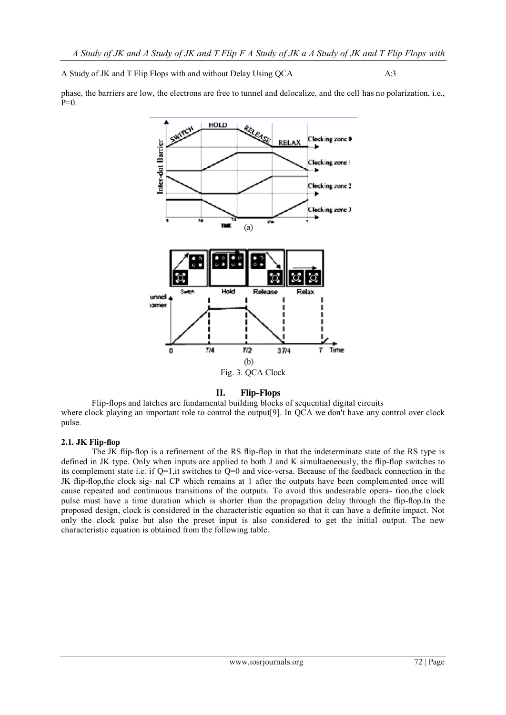A Study of JK and T Flip Flops with and without Delay Using OCA  $A:3$ 

phase, the barriers are low, the electrons are free to tunnel and delocalize, and the cell has no polarization, i.e.,  $P=0$ .



## **II. Flip-Flops**

Flip-flops and latches are fundamental building blocks of sequential digital circuits where clock playing an important role to control the output<sup>[9]</sup>. In QCA we don't have any control over clock pulse.

## **2.1. JK Flip-flop**

The JK flip-flop is a refinement of the RS flip-flop in that the indeterminate state of the RS type is defined in JK type. Only when inputs are applied to both J and K simultaeneously, the flip-flop switches to its complement state i.e. if Q=1,it switches to Q=0 and vice-versa. Because of the feedback connection in the JK flip-flop,the clock sig- nal CP which remains at 1 after the outputs have been complemented once will cause repeated and continuous transitions of the outputs. To avoid this undesirable opera- tion,the clock pulse must have a time duration which is shorter than the propagation delay through the flip-flop.In the proposed design, clock is considered in the characteristic equation so that it can have a definite impact. Not only the clock pulse but also the preset input is also considered to get the initial output. The new characteristic equation is obtained from the following table.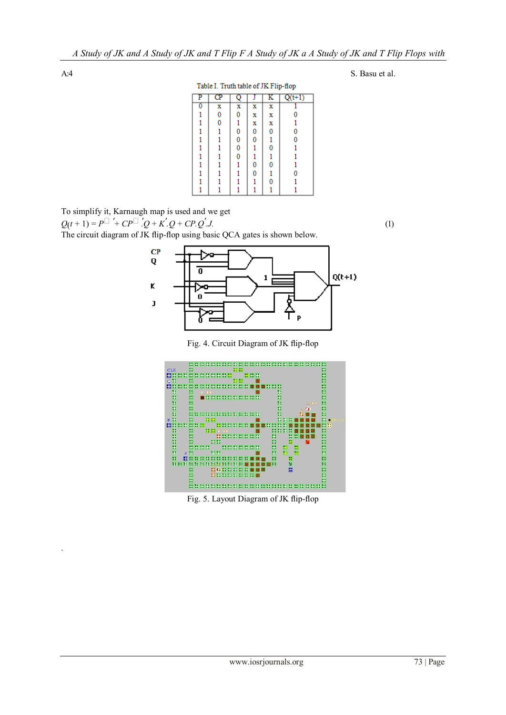.

#### Table I. Truth table of JK Flip-flop

| P | $\overline{\mathbf{C}}$ |   |   | ĸ | $Q(t+1)$ |
|---|-------------------------|---|---|---|----------|
| O | X                       | X | X | x |          |
|   | 0                       | 0 | X | X | 0        |
|   | 0                       |   | X | X |          |
|   |                         | 0 | 0 | 0 | 0        |
|   |                         | 0 | 0 |   | 0        |
|   |                         | 0 |   | 0 |          |
|   |                         | 0 |   |   |          |
|   |                         |   | 0 | 0 |          |
|   |                         |   | 0 |   | 0        |
|   |                         |   |   | 0 |          |
|   |                         |   |   |   |          |

To simplify it, Karnaugh map is used and we get  $Q(t+1) = P^{\Box}$  '+  $CP^{\Box}$ '. $Q + K'$ . $Q + CP$ . $Q'$ *.J.* (1)

The circuit diagram of JK flip-flop using basic QCA gates is shown below.



Fig. 4. Circuit Diagram of JK flip-flop



Fig. 5. Layout Diagram of JK flip-flop

A:4 S. Basu et al.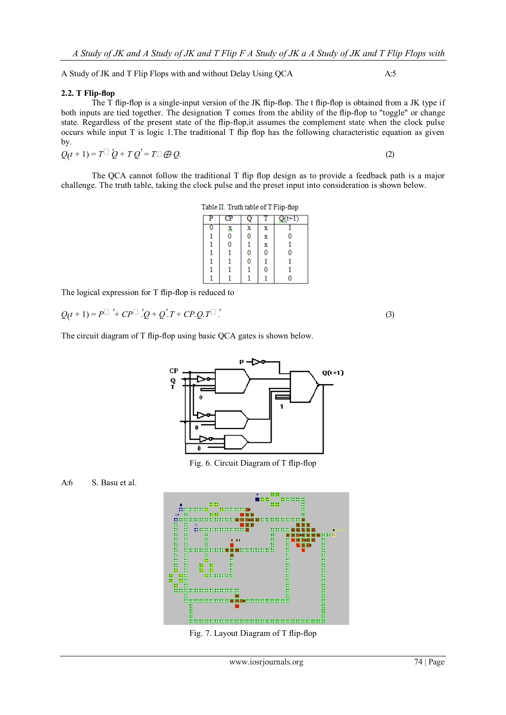A Study of JK and T Flip Flops with and without Delay Using QCA A:5

### **2.2. T Flip-flop**

The T flip-flop is a single-input version of the JK flip-flop. The t flip-flop is obtained from a JK type if both inputs are tied together. The designation T comes from the ability of the flip-flop to "toggle" or change state. Regardless of the present state of the flip-flop,it assumes the complement state when the clock pulse occurs while input T is logic 1.The traditional T flip flop has the following characteristic equation as given by.

 $Q(t+1) = T^{\Box} Q + T Q' = T^{\Box} \bigoplus Q.$  (2)

The QCA cannot follow the traditional T flip flop design as to provide a feedback path is a major challenge. The truth table, taking the clock pulse and the preset input into consideration is shown below.

| Table II. Truth table of T Flip-flop |  |  |  |  |  |
|--------------------------------------|--|--|--|--|--|
|--------------------------------------|--|--|--|--|--|

| J  |   |   | $(1+1)$ |
|----|---|---|---------|
| X, | x | x |         |
| 0  | 0 | x | 0       |
| 0  |   | x |         |
|    | 0 | 0 | 0       |
|    | 0 |   |         |
|    |   | 0 |         |
|    |   |   |         |

The logical expression for T flip-flop is reduced to

$$
Q(t+1) = P^{\Box} + CP^{\Box} \cdot Q + Q \cdot T + CP \cdot Q \cdot T^{\Box}.
$$

The circuit diagram of T flip-flop using basic QCA gates is shown below.



Fig. 6. Circuit Diagram of T flip-flop

## A:6 S. Basu et al.



Fig. 7. Layout Diagram of T flip-flop

*.* (3)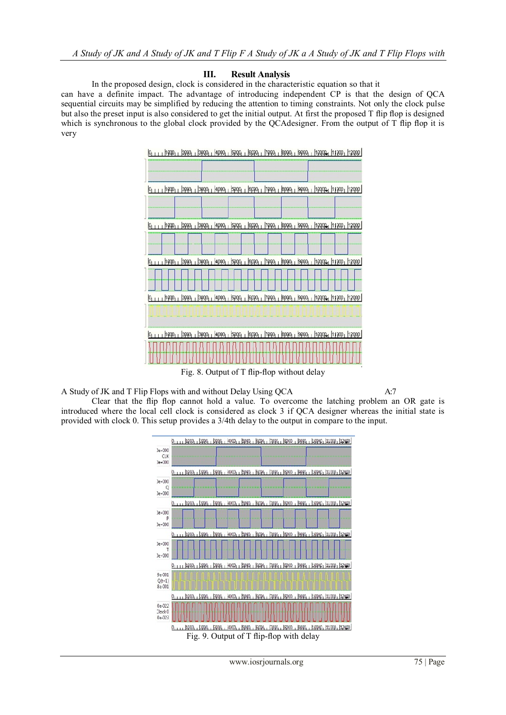## **III. Result Analysis**

In the proposed design, clock is considered in the characteristic equation so that it

can have a definite impact. The advantage of introducing independent CP is that the design of QCA sequential circuits may be simplified by reducing the attention to timing constraints. Not only the clock pulse but also the preset input is also considered to get the initial output. At first the proposed T flip flop is designed which is synchronous to the global clock provided by the QCAdesigner. From the output of T flip flop it is very



Fig. 8. Output of T flip-flop without delay

A Study of JK and T Flip Flops with and without Delay Using QCA A:7

Clear that the flip flop cannot hold a value. To overcome the latching problem an OR gate is introduced where the local cell clock is considered as clock 3 if QCA designer whereas the initial state is provided with clock 0. This setup provides a 3/4th delay to the output in compare to the input.



Fig. 9. Output of T flip-flop with delay